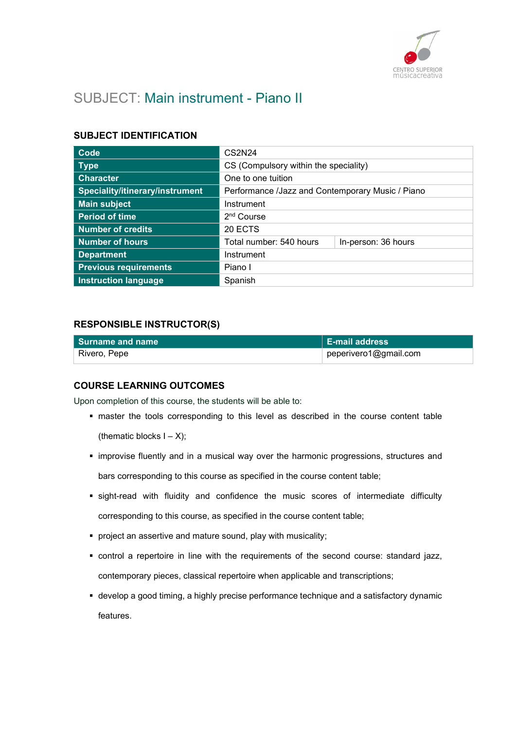

# SUBJECT: Main instrument - Piano II

# SUBJECT IDENTIFICATION

| Code                            | CS2N24                                           |  |
|---------------------------------|--------------------------------------------------|--|
| <b>Type</b>                     | CS (Compulsory within the speciality)            |  |
| <b>Character</b>                | One to one tuition                               |  |
| Speciality/itinerary/instrument | Performance /Jazz and Contemporary Music / Piano |  |
| <b>Main subject</b>             | Instrument                                       |  |
| <b>Period of time</b>           | 2 <sup>nd</sup> Course                           |  |
| <b>Number of credits</b>        | 20 ECTS                                          |  |
| <b>Number of hours</b>          | Total number: 540 hours<br>In-person: 36 hours   |  |
| <b>Department</b>               | Instrument                                       |  |
| <b>Previous requirements</b>    | Piano I                                          |  |
| <b>Instruction language</b>     | Spanish                                          |  |

# RESPONSIBLE INSTRUCTOR(S)

| l Surname and name | <b>E-mail address</b> |
|--------------------|-----------------------|
| ⊦ Rivero, Pepe     | peperivero1@gmail.com |

### COURSE LEARNING OUTCOMES

Upon completion of this course, the students will be able to:

- master the tools corresponding to this level as described in the course content table (thematic blocks  $I - X$ );
- improvise fluently and in a musical way over the harmonic progressions, structures and bars corresponding to this course as specified in the course content table;
- sight-read with fluidity and confidence the music scores of intermediate difficulty corresponding to this course, as specified in the course content table;
- **•** project an assertive and mature sound, play with musicality;
- control a repertoire in line with the requirements of the second course: standard jazz, contemporary pieces, classical repertoire when applicable and transcriptions;
- develop a good timing, a highly precise performance technique and a satisfactory dynamic features.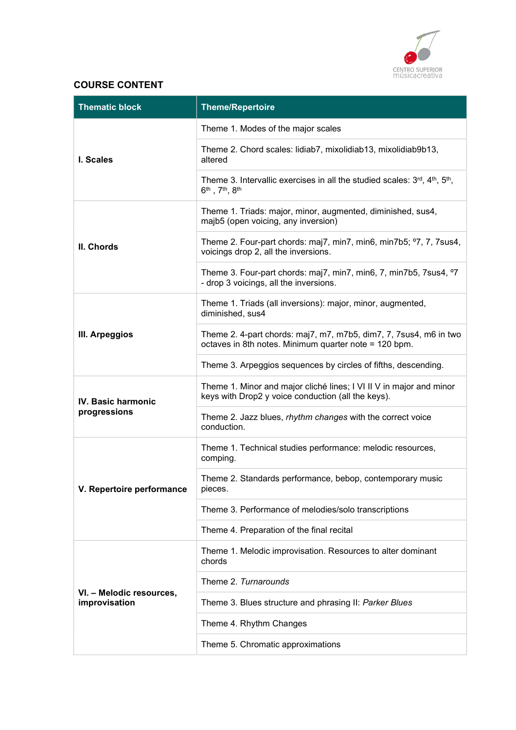

# COURSE CONTENT

| <b>Thematic block</b>                     | <b>Theme/Repertoire</b>                                                                                                              |
|-------------------------------------------|--------------------------------------------------------------------------------------------------------------------------------------|
| I. Scales                                 | Theme 1. Modes of the major scales                                                                                                   |
|                                           | Theme 2. Chord scales: lidiab7, mixolidiab13, mixolidiab9b13,<br>altered                                                             |
|                                           | Theme 3. Intervallic exercises in all the studied scales: 3rd, 4 <sup>th</sup> , 5 <sup>th</sup> ,<br>$6^{th}$ , $7^{th}$ , $8^{th}$ |
|                                           | Theme 1. Triads: major, minor, augmented, diminished, sus4,<br>majb5 (open voicing, any inversion)                                   |
| II. Chords                                | Theme 2. Four-part chords: maj7, min7, min6, min7b5; °7, 7, 7sus4,<br>voicings drop 2, all the inversions.                           |
|                                           | Theme 3. Four-part chords: maj7, min7, min6, 7, min7b5, 7sus4, °7<br>- drop 3 voicings, all the inversions.                          |
| III. Arpeggios                            | Theme 1. Triads (all inversions): major, minor, augmented,<br>diminished, sus4                                                       |
|                                           | Theme 2. 4-part chords: maj7, m7, m7b5, dim7, 7, 7sus4, m6 in two<br>octaves in 8th notes. Minimum quarter note = 120 bpm.           |
|                                           | Theme 3. Arpeggios sequences by circles of fifths, descending.                                                                       |
| IV. Basic harmonic<br>progressions        | Theme 1. Minor and major cliché lines; I VI II V in major and minor<br>keys with Drop2 y voice conduction (all the keys).            |
|                                           | Theme 2. Jazz blues, rhythm changes with the correct voice<br>conduction.                                                            |
|                                           | Theme 1. Technical studies performance: melodic resources,<br>comping.                                                               |
| V. Repertoire performance                 | Theme 2. Standards performance, bebop, contemporary music<br>pieces.                                                                 |
|                                           | Theme 3. Performance of melodies/solo transcriptions                                                                                 |
|                                           | Theme 4. Preparation of the final recital                                                                                            |
| VI. - Melodic resources,<br>improvisation | Theme 1. Melodic improvisation. Resources to alter dominant<br>chords                                                                |
|                                           | Theme 2. Turnarounds                                                                                                                 |
|                                           | Theme 3. Blues structure and phrasing II: Parker Blues                                                                               |
|                                           | Theme 4. Rhythm Changes                                                                                                              |
|                                           | Theme 5. Chromatic approximations                                                                                                    |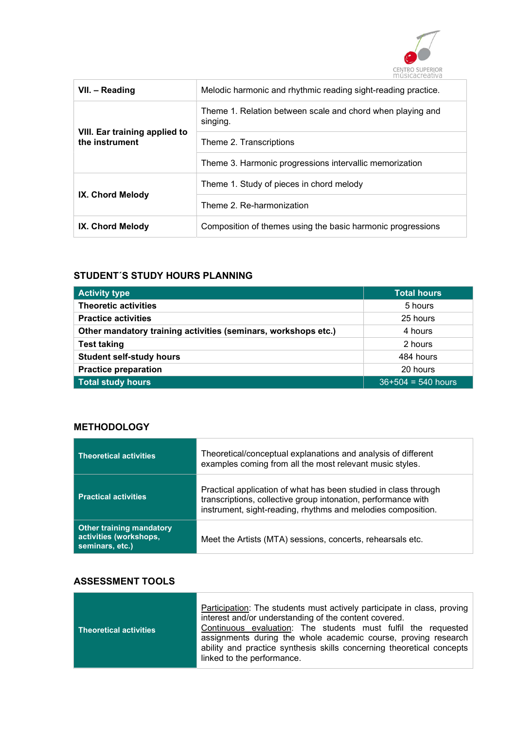

| VII. - Reading                                  | Melodic harmonic and rhythmic reading sight-reading practice.          |
|-------------------------------------------------|------------------------------------------------------------------------|
|                                                 | Theme 1. Relation between scale and chord when playing and<br>singing. |
| VIII. Ear training applied to<br>the instrument | Theme 2. Transcriptions                                                |
|                                                 | Theme 3. Harmonic progressions intervallic memorization                |
|                                                 | Theme 1. Study of pieces in chord melody                               |
| IX. Chord Melody                                | Theme 2. Re-harmonization                                              |
| IX. Chord Melody                                | Composition of themes using the basic harmonic progressions            |

# STUDENT´S STUDY HOURS PLANNING

| <b>Activity type</b>                                           | <b>Total hours</b>   |
|----------------------------------------------------------------|----------------------|
| <b>Theoretic activities</b>                                    | 5 hours              |
| <b>Practice activities</b>                                     | 25 hours             |
| Other mandatory training activities (seminars, workshops etc.) | 4 hours              |
| <b>Test taking</b>                                             | 2 hours              |
| <b>Student self-study hours</b>                                | 484 hours            |
| <b>Practice preparation</b>                                    | 20 hours             |
| <b>Total study hours</b>                                       | $36+504 = 540$ hours |

### **METHODOLOGY**

| <b>Theoretical activities</b>                                                | Theoretical/conceptual explanations and analysis of different<br>examples coming from all the most relevant music styles.                                                                        |
|------------------------------------------------------------------------------|--------------------------------------------------------------------------------------------------------------------------------------------------------------------------------------------------|
| <b>Practical activities</b>                                                  | Practical application of what has been studied in class through<br>transcriptions, collective group intonation, performance with<br>instrument, sight-reading, rhythms and melodies composition. |
| <b>Other training mandatory</b><br>activities (workshops,<br>seminars, etc.) | Meet the Artists (MTA) sessions, concerts, rehearsals etc.                                                                                                                                       |

# ASSESSMENT TOOLS

| Theoretical activities | Participation: The students must actively participate in class, proving<br>interest and/or understanding of the content covered.<br>Continuous evaluation: The students must fulfil the requested |
|------------------------|---------------------------------------------------------------------------------------------------------------------------------------------------------------------------------------------------|
|                        | assignments during the whole academic course, proving research                                                                                                                                    |
|                        | ability and practice synthesis skills concerning theoretical concepts<br>linked to the performance.                                                                                               |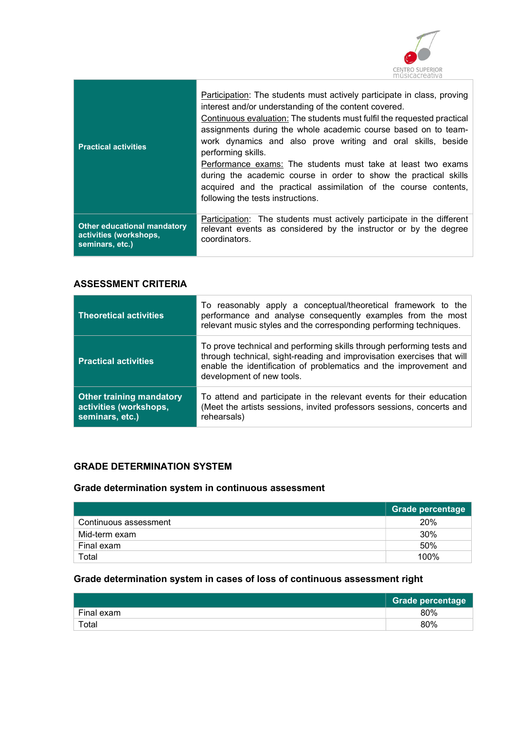

| <b>Practical activities</b> | Participation: The students must actively participate in class, proving<br>interest and/or understanding of the content covered.<br>Continuous evaluation: The students must fulfil the requested practical<br>assignments during the whole academic course based on to team-<br>work dynamics and also prove writing and oral skills, beside<br>performing skills.<br>Performance exams: The students must take at least two exams<br>during the academic course in order to show the practical skills<br>acquired and the practical assimilation of the course contents,<br>following the tests instructions. |
|-----------------------------|-----------------------------------------------------------------------------------------------------------------------------------------------------------------------------------------------------------------------------------------------------------------------------------------------------------------------------------------------------------------------------------------------------------------------------------------------------------------------------------------------------------------------------------------------------------------------------------------------------------------|
| Other educational mandatory | Participation: The students must actively participate in the different                                                                                                                                                                                                                                                                                                                                                                                                                                                                                                                                          |
| activities (workshops,      | relevant events as considered by the instructor or by the degree                                                                                                                                                                                                                                                                                                                                                                                                                                                                                                                                                |
| seminars, etc.)             | coordinators.                                                                                                                                                                                                                                                                                                                                                                                                                                                                                                                                                                                                   |

# ASSESSMENT CRITERIA

| <b>Theoretical activities</b>                                                | To reasonably apply a conceptual/theoretical framework to the<br>performance and analyse consequently examples from the most<br>relevant music styles and the corresponding performing techniques.                                                |
|------------------------------------------------------------------------------|---------------------------------------------------------------------------------------------------------------------------------------------------------------------------------------------------------------------------------------------------|
| <b>Practical activities</b>                                                  | To prove technical and performing skills through performing tests and<br>through technical, sight-reading and improvisation exercises that will<br>enable the identification of problematics and the improvement and<br>development of new tools. |
| <b>Other training mandatory</b><br>activities (workshops,<br>seminars, etc.) | To attend and participate in the relevant events for their education<br>(Meet the artists sessions, invited professors sessions, concerts and<br>rehearsals)                                                                                      |

# GRADE DETERMINATION SYSTEM

# Grade determination system in continuous assessment

|                       | Grade percentage |
|-----------------------|------------------|
| Continuous assessment | 20%              |
| Mid-term exam         | 30%              |
| Final exam            | 50%              |
| Total                 | 100%             |

# Grade determination system in cases of loss of continuous assessment right

|            | <b>Grade percentage</b> |
|------------|-------------------------|
| Final exam | 80%                     |
| Total      | 80%                     |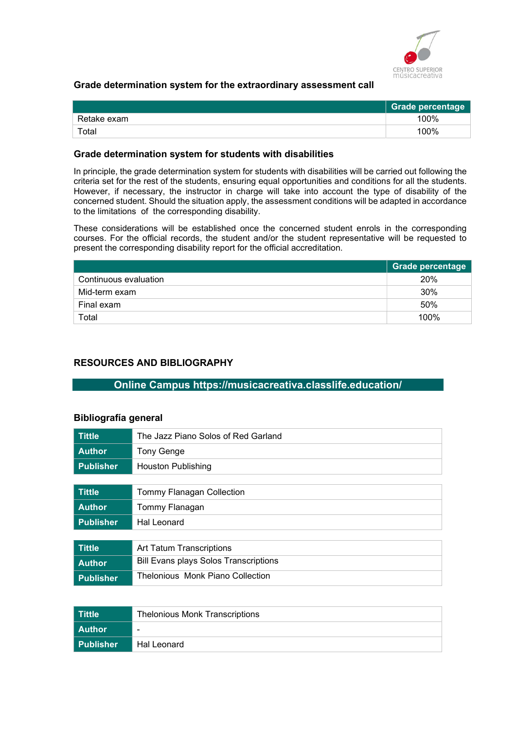

## Grade determination system for the extraordinary assessment call

|             | <b>Grade percentage</b> |
|-------------|-------------------------|
| Retake exam | 100%                    |
| Total       | 100%                    |

#### Grade determination system for students with disabilities

In principle, the grade determination system for students with disabilities will be carried out following the criteria set for the rest of the students, ensuring equal opportunities and conditions for all the students. However, if necessary, the instructor in charge will take into account the type of disability of the concerned student. Should the situation apply, the assessment conditions will be adapted in accordance to the limitations of the corresponding disability.

These considerations will be established once the concerned student enrols in the corresponding courses. For the official records, the student and/or the student representative will be requested to present the corresponding disability report for the official accreditation.

|                       | <b>Grade percentage</b> |
|-----------------------|-------------------------|
| Continuous evaluation | 20%                     |
| Mid-term exam         | 30%                     |
| Final exam            | 50%                     |
| Total                 | 100%                    |

# RESOURCES AND BIBLIOGRAPHY

### Online Campus https://musicacreativa.classlife.education/

#### Bibliografía general

| <b>Tittle</b>    | The Jazz Piano Solos of Red Garland          |
|------------------|----------------------------------------------|
| <b>Author</b>    | <b>Tony Genge</b>                            |
| <b>Publisher</b> | Houston Publishing                           |
|                  |                                              |
| <b>Tittle</b>    | <b>Tommy Flanagan Collection</b>             |
| <b>Author</b>    | Tommy Flanagan                               |
| <b>Publisher</b> | Hal Leonard                                  |
|                  |                                              |
| <b>Tittle</b>    | Art Tatum Transcriptions                     |
| <b>Author</b>    | <b>Bill Evans plays Solos Transcriptions</b> |
| <b>Publisher</b> | Thelonious Monk Piano Collection             |

| l Tittle    | <b>Thelonious Monk Transcriptions</b> |
|-------------|---------------------------------------|
| l Author    | -                                     |
| l Publisher | Hal Leonard                           |